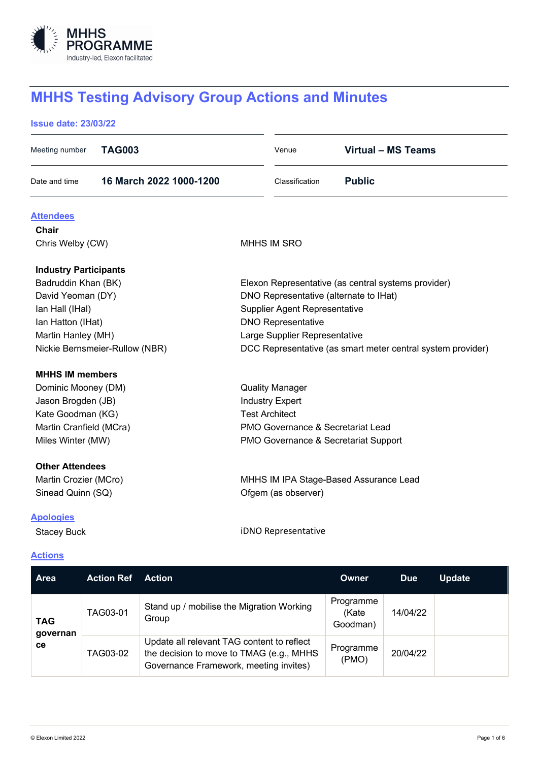

# **MHHS Testing Advisory Group Actions and Minutes**

#### **Issue date: 23/03/22**

| Meeting number                 | <b>TAG003</b>     |                                                                                        |                                      | Venue                                                       |                    | <b>Virtual - MS Teams</b> |               |  |
|--------------------------------|-------------------|----------------------------------------------------------------------------------------|--------------------------------------|-------------------------------------------------------------|--------------------|---------------------------|---------------|--|
| Date and time                  |                   | 16 March 2022 1000-1200                                                                |                                      | Classification                                              | <b>Public</b>      |                           |               |  |
| <b>Attendees</b>               |                   |                                                                                        |                                      |                                                             |                    |                           |               |  |
| Chair                          |                   |                                                                                        |                                      |                                                             |                    |                           |               |  |
| Chris Welby (CW)               |                   |                                                                                        | <b>MHHS IM SRO</b>                   |                                                             |                    |                           |               |  |
| <b>Industry Participants</b>   |                   |                                                                                        |                                      |                                                             |                    |                           |               |  |
| Badruddin Khan (BK)            |                   |                                                                                        |                                      | Elexon Representative (as central systems provider)         |                    |                           |               |  |
| David Yeoman (DY)              |                   |                                                                                        |                                      | DNO Representative (alternate to IHat)                      |                    |                           |               |  |
| Ian Hall (IHal)                |                   |                                                                                        |                                      | <b>Supplier Agent Representative</b>                        |                    |                           |               |  |
| Ian Hatton (IHat)              |                   |                                                                                        |                                      | <b>DNO Representative</b>                                   |                    |                           |               |  |
| Martin Hanley (MH)             |                   |                                                                                        |                                      | Large Supplier Representative                               |                    |                           |               |  |
| Nickie Bernsmeier-Rullow (NBR) |                   |                                                                                        |                                      | DCC Representative (as smart meter central system provider) |                    |                           |               |  |
| <b>MHHS IM members</b>         |                   |                                                                                        |                                      |                                                             |                    |                           |               |  |
| Dominic Mooney (DM)            |                   |                                                                                        | <b>Quality Manager</b>               |                                                             |                    |                           |               |  |
| Jason Brogden (JB)             |                   |                                                                                        | <b>Industry Expert</b>               |                                                             |                    |                           |               |  |
| Kate Goodman (KG)              |                   |                                                                                        |                                      | <b>Test Architect</b>                                       |                    |                           |               |  |
| Martin Cranfield (MCra)        |                   |                                                                                        |                                      | PMO Governance & Secretariat Lead                           |                    |                           |               |  |
| Miles Winter (MW)              |                   |                                                                                        | PMO Governance & Secretariat Support |                                                             |                    |                           |               |  |
| <b>Other Attendees</b>         |                   |                                                                                        |                                      |                                                             |                    |                           |               |  |
| Martin Crozier (MCro)          |                   |                                                                                        |                                      | MHHS IM IPA Stage-Based Assurance Lead                      |                    |                           |               |  |
| Sinead Quinn (SQ)              |                   |                                                                                        |                                      | Ofgem (as observer)                                         |                    |                           |               |  |
| <b>Apologies</b>               |                   |                                                                                        |                                      |                                                             |                    |                           |               |  |
| <b>Stacey Buck</b>             |                   | iDNO Representative                                                                    |                                      |                                                             |                    |                           |               |  |
| <b>Actions</b>                 |                   |                                                                                        |                                      |                                                             |                    |                           |               |  |
| Area                           | <b>Action Ref</b> | <b>Action</b>                                                                          |                                      |                                                             | <b>Owner</b>       | <b>Due</b>                | <b>Update</b> |  |
| <b>TAG</b><br>governan<br>ce   | TAG03-01          | Stand up / mobilise the Migration Working                                              |                                      |                                                             | Programme          | 14/04/22                  |               |  |
|                                |                   | Group                                                                                  |                                      |                                                             | (Kate<br>Goodman)  |                           |               |  |
|                                | TAG03-02          | Update all relevant TAG content to reflect<br>the decision to move to TMAG (e.g., MHHS |                                      |                                                             | Programme<br>(PMO) | 20/04/22                  |               |  |

Governance Framework, meeting invites)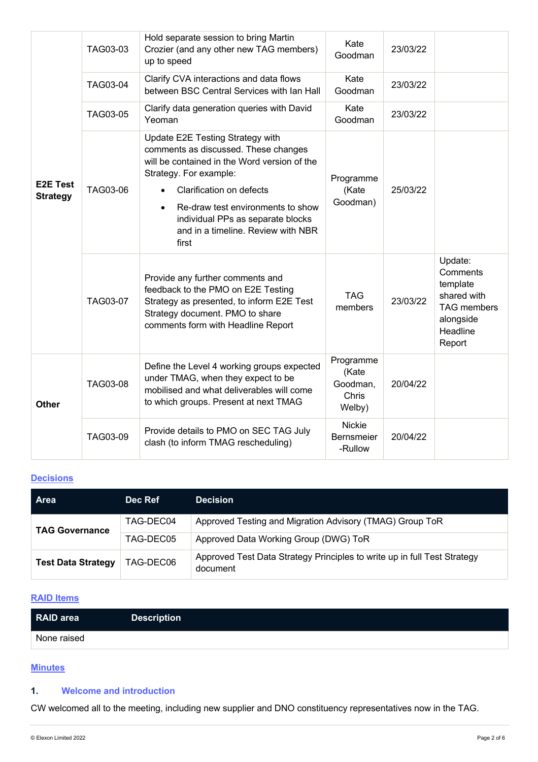| <b>E2E Test</b><br><b>Strategy</b> | TAG03-03        | Hold separate session to bring Martin<br>Crozier (and any other new TAG members)<br>up to speed                                                                                                                                                                                                         | Kate<br>Goodman                                   | 23/03/22 |                                                                                                         |
|------------------------------------|-----------------|---------------------------------------------------------------------------------------------------------------------------------------------------------------------------------------------------------------------------------------------------------------------------------------------------------|---------------------------------------------------|----------|---------------------------------------------------------------------------------------------------------|
|                                    | TAG03-04        | Clarify CVA interactions and data flows<br>between BSC Central Services with Ian Hall                                                                                                                                                                                                                   | Kate<br>Goodman                                   | 23/03/22 |                                                                                                         |
|                                    | TAG03-05        | Clarify data generation queries with David<br>Yeoman                                                                                                                                                                                                                                                    | Kate<br>Goodman                                   | 23/03/22 |                                                                                                         |
|                                    | TAG03-06        | Update E2E Testing Strategy with<br>comments as discussed. These changes<br>will be contained in the Word version of the<br>Strategy. For example:<br>Clarification on defects<br>Re-draw test environments to show<br>individual PPs as separate blocks<br>and in a timeline. Review with NBR<br>first | Programme<br>(Kate<br>Goodman)                    | 25/03/22 |                                                                                                         |
|                                    | <b>TAG03-07</b> | Provide any further comments and<br>feedback to the PMO on E2E Testing<br>Strategy as presented, to inform E2E Test<br>Strategy document. PMO to share<br>comments form with Headline Report                                                                                                            | <b>TAG</b><br>members                             | 23/03/22 | Update:<br>Comments<br>template<br>shared with<br><b>TAG</b> members<br>alongside<br>Headline<br>Report |
| <b>Other</b>                       | TAG03-08        | Define the Level 4 working groups expected<br>under TMAG, when they expect to be<br>mobilised and what deliverables will come<br>to which groups. Present at next TMAG                                                                                                                                  | Programme<br>(Kate<br>Goodman,<br>Chris<br>Welby) | 20/04/22 |                                                                                                         |
|                                    | TAG03-09        | Provide details to PMO on SEC TAG July<br>clash (to inform TMAG rescheduling)                                                                                                                                                                                                                           | <b>Nickie</b><br>Bernsmeier<br>-Rullow            | 20/04/22 |                                                                                                         |

## **Decisions**

| <b>Area</b>               | Dec Ref   | <b>Decision</b>                                                                      |
|---------------------------|-----------|--------------------------------------------------------------------------------------|
| <b>TAG Governance</b>     | TAG-DEC04 | Approved Testing and Migration Advisory (TMAG) Group ToR                             |
|                           | TAG-DEC05 | Approved Data Working Group (DWG) ToR                                                |
| <b>Test Data Strategy</b> | TAG-DEC06 | Approved Test Data Strategy Principles to write up in full Test Strategy<br>document |

## **RAID Items**

| <b>RAID</b> area | <b>Description</b> |
|------------------|--------------------|
| None raised      |                    |

## **Minutes**

## **1. Welcome and introduction**

CW welcomed all to the meeting, including new supplier and DNO constituency representatives now in the TAG.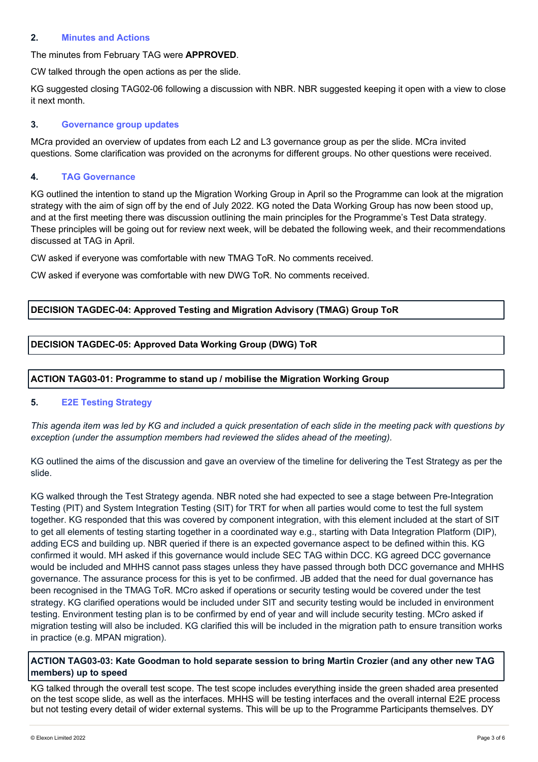#### **2. Minutes and Actions**

## The minutes from February TAG were **APPROVED**.

CW talked through the open actions as per the slide.

KG suggested closing TAG02-06 following a discussion with NBR. NBR suggested keeping it open with a view to close it next month.

#### **3. Governance group updates**

MCra provided an overview of updates from each L2 and L3 governance group as per the slide. MCra invited questions. Some clarification was provided on the acronyms for different groups. No other questions were received.

#### **4. TAG Governance**

KG outlined the intention to stand up the Migration Working Group in April so the Programme can look at the migration strategy with the aim of sign off by the end of July 2022. KG noted the Data Working Group has now been stood up, and at the first meeting there was discussion outlining the main principles for the Programme's Test Data strategy. These principles will be going out for review next week, will be debated the following week, and their recommendations discussed at TAG in April.

CW asked if everyone was comfortable with new TMAG ToR. No comments received.

CW asked if everyone was comfortable with new DWG ToR. No comments received.

## **DECISION TAGDEC-04: Approved Testing and Migration Advisory (TMAG) Group ToR**

#### **DECISION TAGDEC-05: Approved Data Working Group (DWG) ToR**

#### **ACTION TAG03-01: Programme to stand up / mobilise the Migration Working Group**

#### **5. E2E Testing Strategy**

*This agenda item was led by KG and included a quick presentation of each slide in the meeting pack with questions by exception (under the assumption members had reviewed the slides ahead of the meeting).*

KG outlined the aims of the discussion and gave an overview of the timeline for delivering the Test Strategy as per the slide.

KG walked through the Test Strategy agenda. NBR noted she had expected to see a stage between Pre-Integration Testing (PIT) and System Integration Testing (SIT) for TRT for when all parties would come to test the full system together. KG responded that this was covered by component integration, with this element included at the start of SIT to get all elements of testing starting together in a coordinated way e.g., starting with Data Integration Platform (DIP), adding ECS and building up. NBR queried if there is an expected governance aspect to be defined within this. KG confirmed it would. MH asked if this governance would include SEC TAG within DCC. KG agreed DCC governance would be included and MHHS cannot pass stages unless they have passed through both DCC governance and MHHS governance. The assurance process for this is yet to be confirmed. JB added that the need for dual governance has been recognised in the TMAG ToR. MCro asked if operations or security testing would be covered under the test strategy. KG clarified operations would be included under SIT and security testing would be included in environment testing. Environment testing plan is to be confirmed by end of year and will include security testing. MCro asked if migration testing will also be included. KG clarified this will be included in the migration path to ensure transition works in practice (e.g. MPAN migration).

#### **ACTION TAG03-03: Kate Goodman to hold separate session to bring Martin Crozier (and any other new TAG members) up to speed**

KG talked through the overall test scope. The test scope includes everything inside the green shaded area presented on the test scope slide, as well as the interfaces. MHHS will be testing interfaces and the overall internal E2E process but not testing every detail of wider external systems. This will be up to the Programme Participants themselves. DY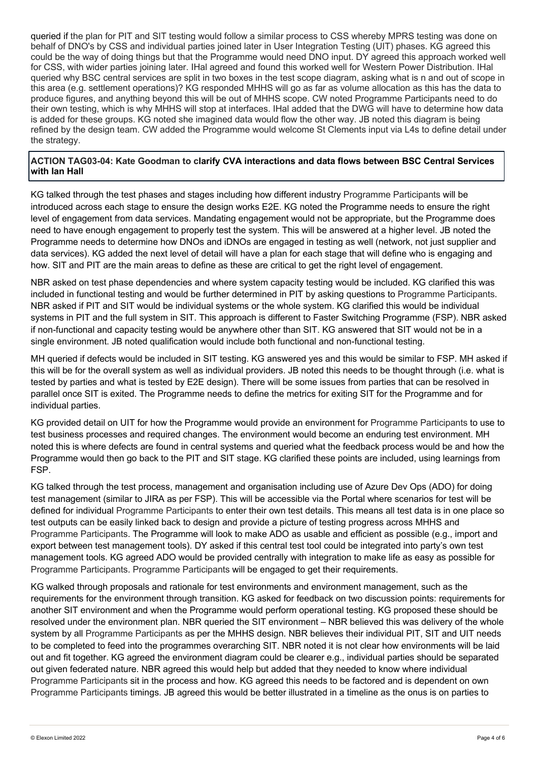queried if the plan for PIT and SIT testing would follow a similar process to CSS whereby MPRS testing was done on behalf of DNO's by CSS and individual parties joined later in User Integration Testing (UIT) phases. KG agreed this could be the way of doing things but that the Programme would need DNO input. DY agreed this approach worked well for CSS, with wider parties joining later. IHal agreed and found this worked well for Western Power Distribution. IHal queried why BSC central services are split in two boxes in the test scope diagram, asking what is n and out of scope in this area (e.g. settlement operations)? KG responded MHHS will go as far as volume allocation as this has the data to produce figures, and anything beyond this will be out of MHHS scope. CW noted Programme Participants need to do their own testing, which is why MHHS will stop at interfaces. IHal added that the DWG will have to determine how data is added for these groups. KG noted she imagined data would flow the other way. JB noted this diagram is being refined by the design team. CW added the Programme would welcome St Clements input via L4s to define detail under the strategy.

#### **ACTION TAG03-04: Kate Goodman to clarify CVA interactions and data flows between BSC Central Services with Ian Hall**

KG talked through the test phases and stages including how different industry Programme Participants will be introduced across each stage to ensure the design works E2E. KG noted the Programme needs to ensure the right level of engagement from data services. Mandating engagement would not be appropriate, but the Programme does need to have enough engagement to properly test the system. This will be answered at a higher level. JB noted the Programme needs to determine how DNOs and iDNOs are engaged in testing as well (network, not just supplier and data services). KG added the next level of detail will have a plan for each stage that will define who is engaging and how. SIT and PIT are the main areas to define as these are critical to get the right level of engagement.

NBR asked on test phase dependencies and where system capacity testing would be included. KG clarified this was included in functional testing and would be further determined in PIT by asking questions to Programme Participants. NBR asked if PIT and SIT would be individual systems or the whole system. KG clarified this would be individual systems in PIT and the full system in SIT. This approach is different to Faster Switching Programme (FSP). NBR asked if non-functional and capacity testing would be anywhere other than SIT. KG answered that SIT would not be in a single environment. JB noted qualification would include both functional and non-functional testing.

MH queried if defects would be included in SIT testing. KG answered yes and this would be similar to FSP. MH asked if this will be for the overall system as well as individual providers. JB noted this needs to be thought through (i.e. what is tested by parties and what is tested by E2E design). There will be some issues from parties that can be resolved in parallel once SIT is exited. The Programme needs to define the metrics for exiting SIT for the Programme and for individual parties.

KG provided detail on UIT for how the Programme would provide an environment for Programme Participants to use to test business processes and required changes. The environment would become an enduring test environment. MH noted this is where defects are found in central systems and queried what the feedback process would be and how the Programme would then go back to the PIT and SIT stage. KG clarified these points are included, using learnings from FSP.

KG talked through the test process, management and organisation including use of Azure Dev Ops (ADO) for doing test management (similar to JIRA as per FSP). This will be accessible via the Portal where scenarios for test will be defined for individual Programme Participants to enter their own test details. This means all test data is in one place so test outputs can be easily linked back to design and provide a picture of testing progress across MHHS and Programme Participants. The Programme will look to make ADO as usable and efficient as possible (e.g., import and export between test management tools). DY asked if this central test tool could be integrated into party's own test management tools. KG agreed ADO would be provided centrally with integration to make life as easy as possible for Programme Participants. Programme Participants will be engaged to get their requirements.

KG walked through proposals and rationale for test environments and environment management, such as the requirements for the environment through transition. KG asked for feedback on two discussion points: requirements for another SIT environment and when the Programme would perform operational testing. KG proposed these should be resolved under the environment plan. NBR queried the SIT environment – NBR believed this was delivery of the whole system by all Programme Participants as per the MHHS design. NBR believes their individual PIT, SIT and UIT needs to be completed to feed into the programmes overarching SIT. NBR noted it is not clear how environments will be laid out and fit together. KG agreed the environment diagram could be clearer e.g., individual parties should be separated out given federated nature. NBR agreed this would help but added that they needed to know where individual Programme Participants sit in the process and how. KG agreed this needs to be factored and is dependent on own Programme Participants timings. JB agreed this would be better illustrated in a timeline as the onus is on parties to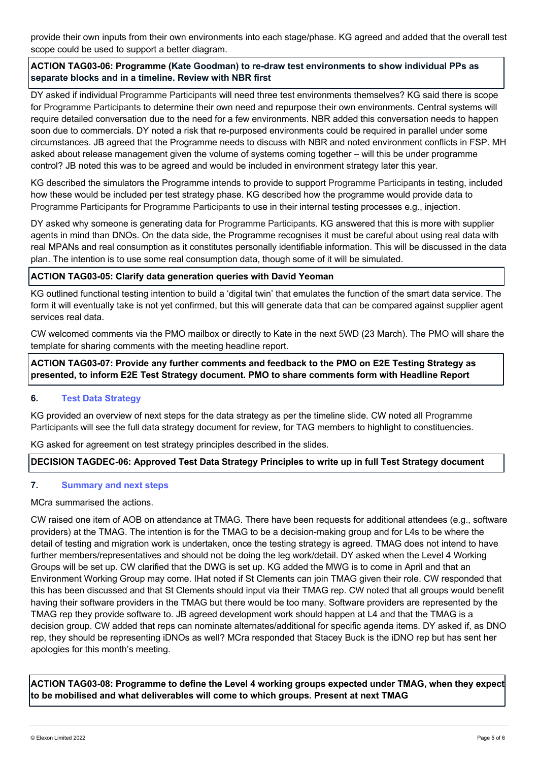provide their own inputs from their own environments into each stage/phase. KG agreed and added that the overall test scope could be used to support a better diagram.

## **ACTION TAG03-06: Programme (Kate Goodman) to re-draw test environments to show individual PPs as separate blocks and in a timeline. Review with NBR first**

DY asked if individual Programme Participants will need three test environments themselves? KG said there is scope for Programme Participants to determine their own need and repurpose their own environments. Central systems will require detailed conversation due to the need for a few environments. NBR added this conversation needs to happen soon due to commercials. DY noted a risk that re-purposed environments could be required in parallel under some circumstances. JB agreed that the Programme needs to discuss with NBR and noted environment conflicts in FSP. MH asked about release management given the volume of systems coming together – will this be under programme control? JB noted this was to be agreed and would be included in environment strategy later this year.

KG described the simulators the Programme intends to provide to support Programme Participants in testing, included how these would be included per test strategy phase. KG described how the programme would provide data to Programme Participants for Programme Participants to use in their internal testing processes e.g., injection.

DY asked why someone is generating data for Programme Participants. KG answered that this is more with supplier agents in mind than DNOs. On the data side, the Programme recognises it must be careful about using real data with real MPANs and real consumption as it constitutes personally identifiable information. This will be discussed in the data plan. The intention is to use some real consumption data, though some of it will be simulated.

#### **ACTION TAG03-05: Clarify data generation queries with David Yeoman**

KG outlined functional testing intention to build a 'digital twin' that emulates the function of the smart data service. The form it will eventually take is not yet confirmed, but this will generate data that can be compared against supplier agent services real data.

CW welcomed comments via the PMO mailbox or directly to Kate in the next 5WD (23 March). The PMO will share the template for sharing comments with the meeting headline report.

**ACTION TAG03-07: Provide any further comments and feedback to the PMO on E2E Testing Strategy as presented, to inform E2E Test Strategy document. PMO to share comments form with Headline Report**

#### **6. Test Data Strategy**

KG provided an overview of next steps for the data strategy as per the timeline slide. CW noted all Programme Participants will see the full data strategy document for review, for TAG members to highlight to constituencies.

KG asked for agreement on test strategy principles described in the slides.

#### **DECISION TAGDEC-06: Approved Test Data Strategy Principles to write up in full Test Strategy document**

## **7. Summary and next steps**

#### MCra summarised the actions.

CW raised one item of AOB on attendance at TMAG. There have been requests for additional attendees (e.g., software providers) at the TMAG. The intention is for the TMAG to be a decision-making group and for L4s to be where the detail of testing and migration work is undertaken, once the testing strategy is agreed. TMAG does not intend to have further members/representatives and should not be doing the leg work/detail. DY asked when the Level 4 Working Groups will be set up. CW clarified that the DWG is set up. KG added the MWG is to come in April and that an Environment Working Group may come. IHat noted if St Clements can join TMAG given their role. CW responded that this has been discussed and that St Clements should input via their TMAG rep. CW noted that all groups would benefit having their software providers in the TMAG but there would be too many. Software providers are represented by the TMAG rep they provide software to. JB agreed development work should happen at L4 and that the TMAG is a decision group. CW added that reps can nominate alternates/additional for specific agenda items. DY asked if, as DNO rep, they should be representing iDNOs as well? MCra responded that Stacey Buck is the iDNO rep but has sent her apologies for this month's meeting.

**ACTION TAG03-08: Programme to define the Level 4 working groups expected under TMAG, when they expect to be mobilised and what deliverables will come to which groups. Present at next TMAG**